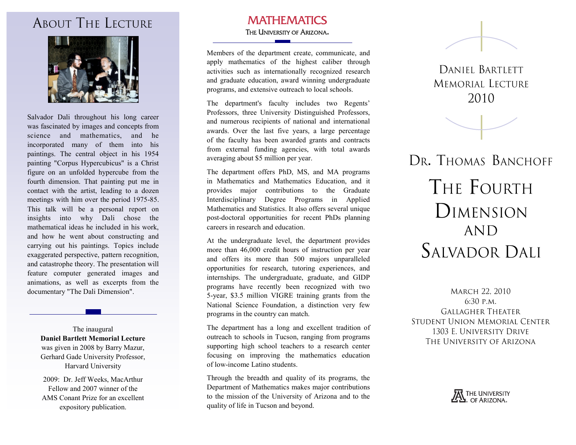### **ABOUT THE LECTURE**



Salvador Dali throughout his long career was fascinated by images and concepts from science and mathematics, and he incorporated many of them into his paintings. The central object in his 1954 painting "Corpus Hypercubicus" is a Christ figure on an unfolded hypercube from the fourth dimension. That painting put me in contact with the artist, leading to a dozen meetings with him over the period 1975-85. This talk will be a personal report on insights into why Dali chose the mathematical ideas he included in his work, and how he went about constructing and carrying out his paintings. Topics include exaggerated perspective, pattern recognition, and catastrophe theory. The presentation will feature computer generated images and animations, as well as excerpts from the documentary "The Dali Dimension".

The inaugural **Daniel Bartlett Memorial Lecture** was given in 2008 by Barry Mazur, Gerhard Gade University Professor, Harvard University

2009: Dr. Jeff Weeks, MacArthur Fellow and 2007 winner of the AMS Conant Prize for an excellent expository publication.

#### **MATHEMATICS** THE UNIVERSITY OF ARIZONA.

Members of the department create, communicate, and apply mathematics of the highest caliber through activities such as internationally recognized research and graduate education, award winning undergraduate programs, and extensive outreach to local schools.

The department's faculty includes two Regents' Professors, three University Distinguished Professors, and numerous recipients of national and international awards. Over the last five years, a large percentage of the faculty has been awarded grants and contracts from external funding agencies, with total awards averaging about \$5 million per year.

The department offers PhD, MS, and MA programs in Mathematics and Mathematics Education, and it provides major contributions to the Graduate Interdisciplinary Degree Programs in Applied Mathematics and Statistics. It also offers several unique post-doctoral opportunities for recent PhDs planning careers in research and education.

At the undergraduate level, the department provides more than 46,000 credit hours of instruction per year and offers its more than 500 majors unparalleled opportunities for research, tutoring experiences, and internships. The undergraduate, graduate, and GIDP programs have recently been recognized with two 5-year, \$3.5 million VIGRE training grants from the National Science Foundation, a distinction very few programs in the country can match.

The department has a long and excellent tradition of outreach to schools in Tucson, ranging from programs supporting high school teachers to a research center focusing on improving the mathematics education of low-income Latino students.

Through the breadth and quality of its programs, the Department of Mathematics makes major contributions to the mission of the University of Arizona and to the quality of life in Tucson and beyond.

DANIFI BARTIFTT **MEMORIAL LECTURE** 2010



# DR. THOMAS BANCHOFF THE FOURTH DIMENSION **AND SALVADOR DALI**

MARCH 22, 2010 6:30 P.M. **GALLAGHER THEATER** STUDENT UNION MEMORIAL CENTER 1303 E. UNIVERSITY DRIVE THE UNIVERSITY OF ARIZONA